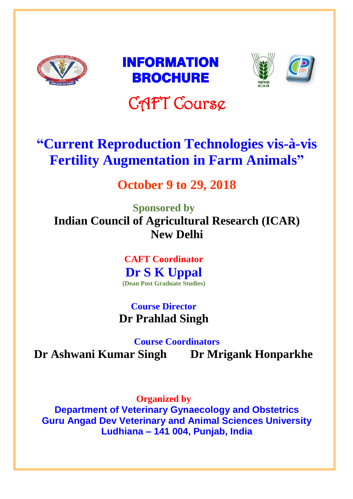





# CAFT Course

## **"Current Reproduction Technologies vis-à-vis Fertility Augmentation in Farm Animals"**

## **October 9 to 29, 2018**

**Sponsored by Indian Council of Agricultural Research (ICAR) New Delhi**

> **CAFT Coordinator Dr S K Uppal (Dean Post Graduate Studies)**

**Course Director Dr Prahlad Singh**

**Course Coordinators Dr Ashwani Kumar Singh Dr Mrigank Honparkhe**

**Organized by Department of Veterinary Gynaecology and Obstetrics Guru Angad Dev Veterinary and Animal Sciences University Ludhiana – 141 004, Punjab, India**

l.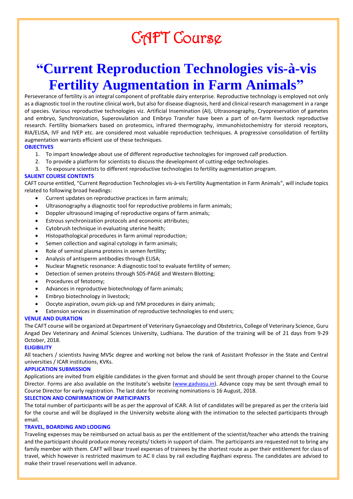## CAFT Course

## **"Current Reproduction Technologies vis-à-vis Fertility Augmentation in Farm Animals"**

Perseverance of fertility is an integral component of profitable dairy enterprise. Reproductive technology is employed not only as a diagnostic tool in the routine clinical work, but also for disease diagnosis, herd and clinical research management in a range of species. Various reproductive technologies viz. Artificial Insemination (AI), Ultrasonography, Cryopreservation of gametes and embryo, Synchronization, Superovulation and Embryo Transfer have been a part of on-farm livestock reproductive research. Fertility biomarkers based on proteomics, infrared thermography, immunohistochemistry for steroid receptors, RIA/ELISA, IVF and IVEP etc. are considered most valuable reproduction techniques. A progressive consolidation of fertility augmentation warrants efficient use of these techniques.

#### **OBJECTIVES**

- 1. To impart knowledge about use of different reproductive technologies for improved calf production.
- 2. To provide a platform for scientists to discuss the development of cutting-edge technologies.
- 3. To exposure scientists to different reproductive technologies to fertility augmentation program.

#### **SALIENT COURSE CONTENTS**

CAFT course entitled, "Current Reproduction Technologies vis-à-vis Fertility Augmentation in Farm Animals", will include topics related to following broad headings:

- Current updates on reproductive practices in farm animals;
- Ultrasonography a diagnostic tool for reproductive problems in farm animals;
- Doppler ultrasound imaging of reproductive organs of farm animals;
- Estrous synchronization protocols and economic attributes;
- Cytobrush technique in evaluating uterine health;
- Histopathological procedures in farm animal reproduction;
- Semen collection and vaginal cytology in farm animals;
- Role of seminal plasma proteins in semen fertility;
- Analysis of antisperm antibodies through ELISA;
- Nuclear Magnetic resonance: A diagnostic tool to evaluate fertility of semen;
- Detection of semen proteins through SDS-PAGE and Western Blotting;
- Procedures of fetotomy;
- Advances in reproductive biotechnology of farm animals;
- Embryo biotechnology in livestock;
- Oocyte aspiration, ovum pick-up and IVM procedures in dairy animals;
- Extension services in dissemination of reproductive technologies to end users;

#### **VENUE AND DURATION**

The CAFT course will be organized at Department of Veterinary Gynaecology and Obstetrics, College of Veterinary Science, Guru Angad Dev Veterinary and Animal Sciences University, Ludhiana. The duration of the training will be of 21 days from 9-29 October, 2018.

#### **ELIGIBILITY**

All teachers / scientists having MVSc degree and working not below the rank of Assistant Professor in the State and Central universities / ICAR institutions, KVKs.

#### **APPLICATION SUBMISSION**

Applications are invited from eligible candidates in the given format and should be sent through proper channel to the Course Director. Forms are also available on the Institute's website ([www.gadvasu.in\)](http://www.gadvasu.in/). Advance copy may be sent through email to Course Director for early registration. The last date for receiving nominations is 16 August, 2018.

#### **SELECTION AND CONFIRMATION OF PARTICIPANTS**

The total number of participants will be as per the approval of ICAR. A list of candidates will be prepared as per the criteria laid for the course and will be displayed in the University website along with the intimation to the selected participants through email.

#### **TRAVEL, BOARDING AND LODGING**

Traveling expenses may be reimbursed on actual basis as per the entitlement of the scientist/teacher who attends the training and the participant should produce money receipts/ tickets in support of claim. The participants are requested not to bring any family member with them. CAFT will bear travel expenses of trainees by the shortest route as per their entitlement for class of travel, which however is restricted maximum to AC II class by rail excluding Rajdhani express. The candidates are advised to make their travel reservations well in advance.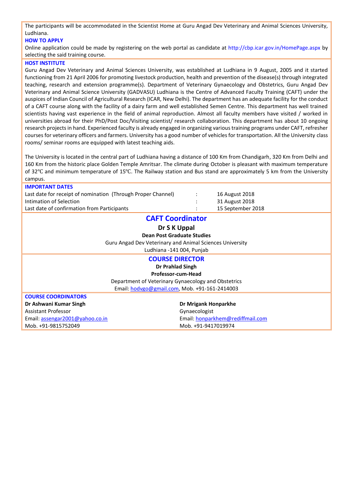The participants will be accommodated in the Scientist Home at Guru Angad Dev Veterinary and Animal Sciences University, Ludhiana.

#### **HOW TO APPLY**

Online application could be made by registering on the web portal as candidate at http://cbp.icar.gov.in/HomePage.aspx by selecting the said training course.

#### **HOST INSTITUTE**

Guru Angad Dev Veterinary and Animal Sciences University, was established at Ludhiana in 9 August, 2005 and it started functioning from 21 April 2006 for promoting livestock production, health and prevention of the disease(s) through integrated teaching, research and extension programme(s). Department of Veterinary Gynaecology and Obstetrics, Guru Angad Dev Veterinary and Animal Science University (GADVASU) Ludhiana is the Centre of Advanced Faculty Training (CAFT) under the auspices of Indian Council of Agricultural Research (ICAR, New Delhi). The department has an adequate facility for the conduct of a CAFT course along with the facility of a dairy farm and well established Semen Centre. This department has well trained scientists having vast experience in the field of animal reproduction. Almost all faculty members have visited / worked in universities abroad for their PhD/Post Doc/Visiting scientist/ research collaboration. This department has about 10 ongoing research projects in hand. Experienced faculty is already engaged in organizing various training programs under CAFT, refresher courses for veterinary officers and farmers. University has a good number of vehicles for transportation. All the University class rooms/ seminar rooms are equipped with latest teaching aids.

The University is located in the central part of Ludhiana having a distance of 100 Km from Chandigarh, 320 Km from Delhi and 160 Km from the historic place Golden Temple Amritsar. The climate during October is pleasant with maximum temperature of 32℃ and minimum temperature of 15℃. The Railway station and Bus stand are approximately 5 km from the University campus.

| <b>IMPORTANT DATES</b>                                       |                                  |  |  |  |  |  |  |  |
|--------------------------------------------------------------|----------------------------------|--|--|--|--|--|--|--|
| Last date for receipt of nomination (Through Proper Channel) | 16 August 2018                   |  |  |  |  |  |  |  |
| Intimation of Selection                                      | 31 August 2018                   |  |  |  |  |  |  |  |
| Last date of confirmation from Participants                  | 15 September 2018                |  |  |  |  |  |  |  |
| <b>CAFT Coordinator</b>                                      |                                  |  |  |  |  |  |  |  |
| Dr S K Uppal                                                 |                                  |  |  |  |  |  |  |  |
| Dean Post Graduate Studies                                   |                                  |  |  |  |  |  |  |  |
| Guru Angad Dev Veterinary and Animal Sciences University     |                                  |  |  |  |  |  |  |  |
| Ludhiana -141 004, Punjab                                    |                                  |  |  |  |  |  |  |  |
| <b>COURSE DIRECTOR</b>                                       |                                  |  |  |  |  |  |  |  |
| Dr Prahlad Singh                                             |                                  |  |  |  |  |  |  |  |
| Professor-cum-Head                                           |                                  |  |  |  |  |  |  |  |
| Department of Veterinary Gynaecology and Obstetrics          |                                  |  |  |  |  |  |  |  |
| Email: hodvgo@gmail.com, Mob. +91-161-2414003                |                                  |  |  |  |  |  |  |  |
| <b>COURSE COORDINATORS</b>                                   |                                  |  |  |  |  |  |  |  |
| Dr Ashwani Kumar Singh                                       | Dr Mrigank Honparkhe             |  |  |  |  |  |  |  |
| <b>Assistant Professor</b>                                   | Gynaecologist                    |  |  |  |  |  |  |  |
| Email: assengar2001@yahoo.co.in                              | Email: honparkhem@rediffmail.com |  |  |  |  |  |  |  |
| Mob. +91-9815752049                                          | Mob. +91-9417019974              |  |  |  |  |  |  |  |